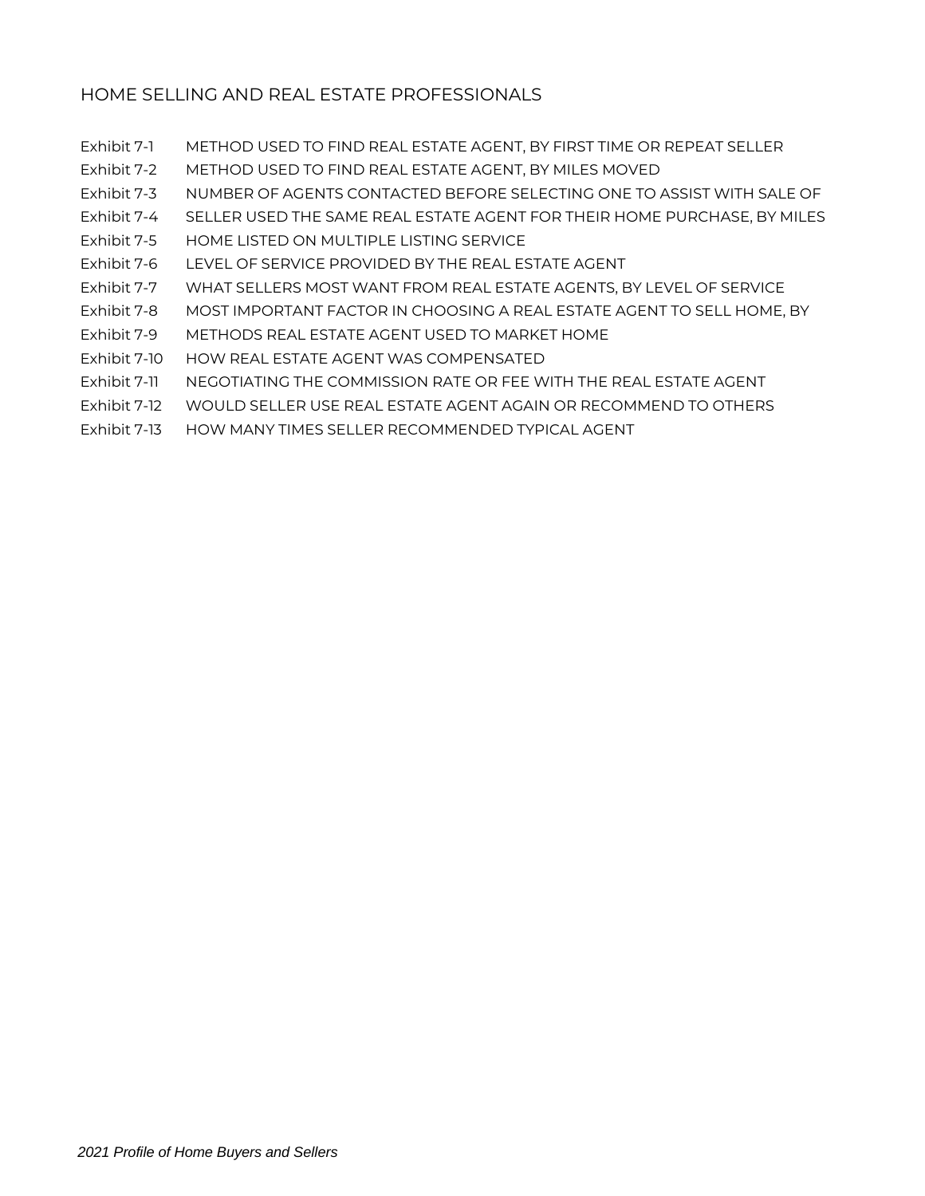- Exhibit 7-1 METHOD USED TO FIND REAL ESTATE AGENT, BY FIRST TIME OR REPEAT SELLER
- Exhibit 7-2 METHOD USED TO FIND REAL ESTATE AGENT, BY MILES MOVED
- Exhibit 7-3 NUMBER OF AGENTS CONTACTED BEFORE SELECTING ONE TO ASSIST WITH SALE OF
- Exhibit 7-4 SELLER USED THE SAME REAL ESTATE AGENT FOR THEIR HOME PURCHASE, BY MILES
- Exhibit 7-5 HOME LISTED ON MULTIPLE LISTING SERVICE
- Exhibit 7-6 LEVEL OF SERVICE PROVIDED BY THE REAL ESTATE AGENT
- Exhibit 7-7 WHAT SELLERS MOST WANT FROM REAL ESTATE AGENTS, BY LEVEL OF SERVICE
- Exhibit 7-8 MOST IMPORTANT FACTOR IN CHOOSING A REAL ESTATE AGENT TO SELL HOME, BY
- Exhibit 7-9 METHODS REAL ESTATE AGENT USED TO MARKET HOME
- Exhibit 7-10 HOW REAL ESTATE AGENT WAS COMPENSATED
- Exhibit 7-11 NEGOTIATING THE COMMISSION RATE OR FEE WITH THE REAL ESTATE AGENT
- Exhibit 7-12 WOULD SELLER USE REAL ESTATE AGENT AGAIN OR RECOMMEND TO OTHERS
- Exhibit 7-13 HOW MANY TIMES SELLER RECOMMENDED TYPICAL AGENT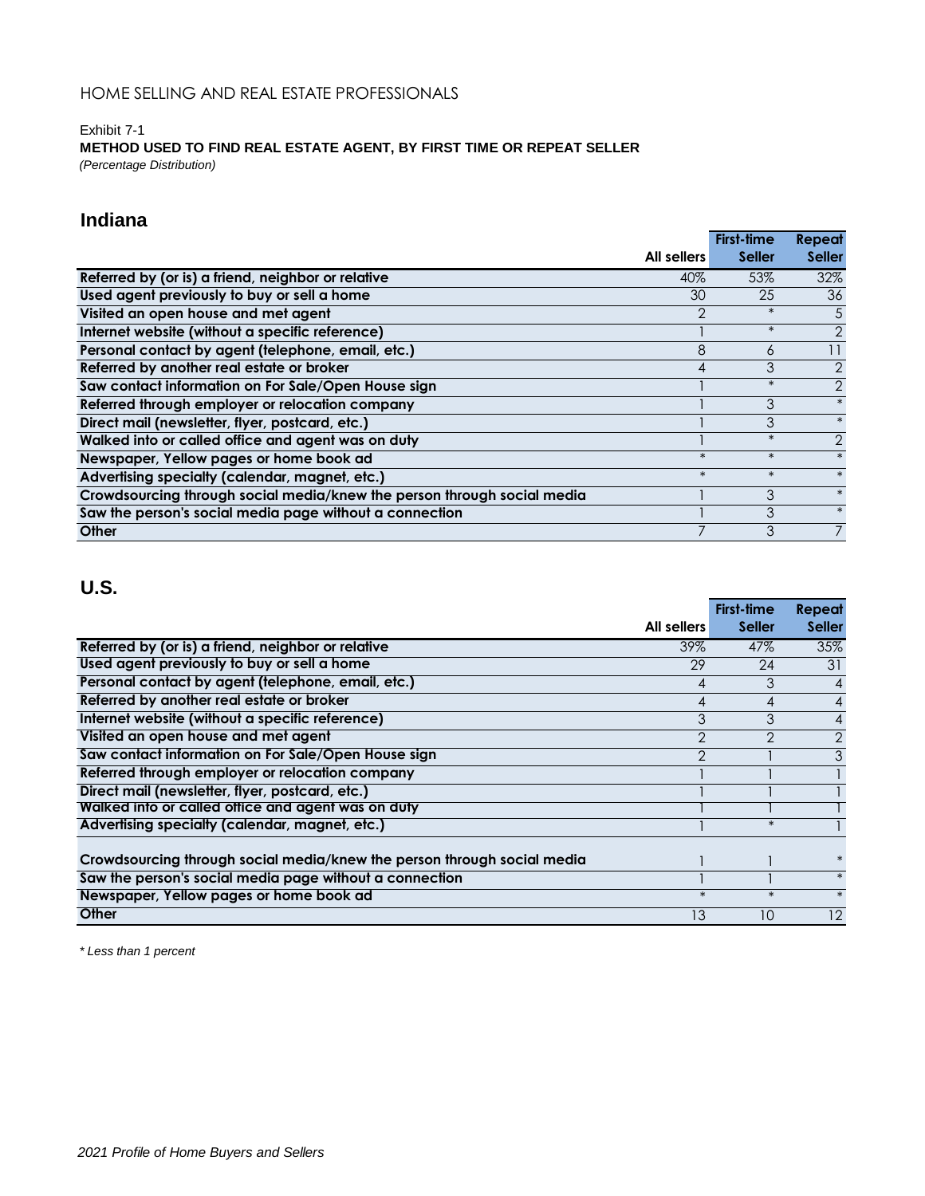## Exhibit 7-1 **METHOD USED TO FIND REAL ESTATE AGENT, BY FIRST TIME OR REPEAT SELLER** *(Percentage Distribution)*

# **Indiana**

|                                                                         |                | <b>First-time</b> | Repeat         |
|-------------------------------------------------------------------------|----------------|-------------------|----------------|
|                                                                         | All sellers    | <b>Seller</b>     | <b>Seller</b>  |
| Referred by (or is) a friend, neighbor or relative                      | 40%            | 53%               | 32%            |
| Used agent previously to buy or sell a home                             | 30             | 25                | 36             |
| Visited an open house and met agent                                     | $\overline{2}$ | $\ast$            | 5              |
| Internet website (without a specific reference)                         |                | $\ast$            | $\overline{2}$ |
| Personal contact by agent (telephone, email, etc.)                      | 8              | 6                 | 11             |
| Referred by another real estate or broker                               | 4              | 3                 | $\overline{2}$ |
| Saw contact information on For Sale/Open House sign                     |                | $\ast$            | $\overline{2}$ |
| Referred through employer or relocation company                         |                | 3                 | $\ast$         |
| Direct mail (newsletter, flyer, postcard, etc.)                         |                | 3                 | $\ast$         |
| Walked into or called office and agent was on duty                      |                | $\ast$            | $\overline{2}$ |
| Newspaper, Yellow pages or home book ad                                 | $\ast$         | $\ast$            | $\ast$         |
| Advertising specialty (calendar, magnet, etc.)                          | $\ast$         | $\ast$            | $\ast$         |
| Crowdsourcing through social media/knew the person through social media |                | 3                 | $\ast$         |
| Saw the person's social media page without a connection                 |                | 3                 | $\ast$         |
| Other                                                                   |                | 3                 | $\overline{7}$ |

# **U.S.**

|                                                                         |                | First-time     | <b>Repeat</b>  |
|-------------------------------------------------------------------------|----------------|----------------|----------------|
|                                                                         | All sellers    | <b>Seller</b>  | <b>Seller</b>  |
| Referred by (or is) a friend, neighbor or relative                      | 39%            | 47%            | 35%            |
| Used agent previously to buy or sell a home                             | 29             | 24             | 31             |
| Personal contact by agent (telephone, email, etc.)                      | 4              | 3              | $\overline{4}$ |
| Referred by another real estate or broker                               | $\overline{4}$ | 4              | $\overline{4}$ |
| Internet website (without a specific reference)                         | 3              | 3              | $\overline{4}$ |
| Visited an open house and met agent                                     | $\overline{2}$ | $\mathfrak{D}$ | $\overline{2}$ |
| Saw contact information on For Sale/Open House sign                     | $\overline{2}$ |                | 3              |
| Referred through employer or relocation company                         |                |                |                |
| Direct mail (newsletter, flyer, postcard, etc.)                         |                |                |                |
| Walked into or called office and agent was on duty                      |                |                |                |
| Advertising specialty (calendar, magnet, etc.)                          |                | $\ast$         |                |
|                                                                         |                |                |                |
| Crowdsourcing through social media/knew the person through social media |                |                | $\ast$         |
| Saw the person's social media page without a connection                 |                |                | $\ast$         |
| Newspaper, Yellow pages or home book ad                                 | $\ast$         | $\ast$         | $\ast$         |
| Other                                                                   | 13             | 10             | 12             |

*\* Less than 1 percent*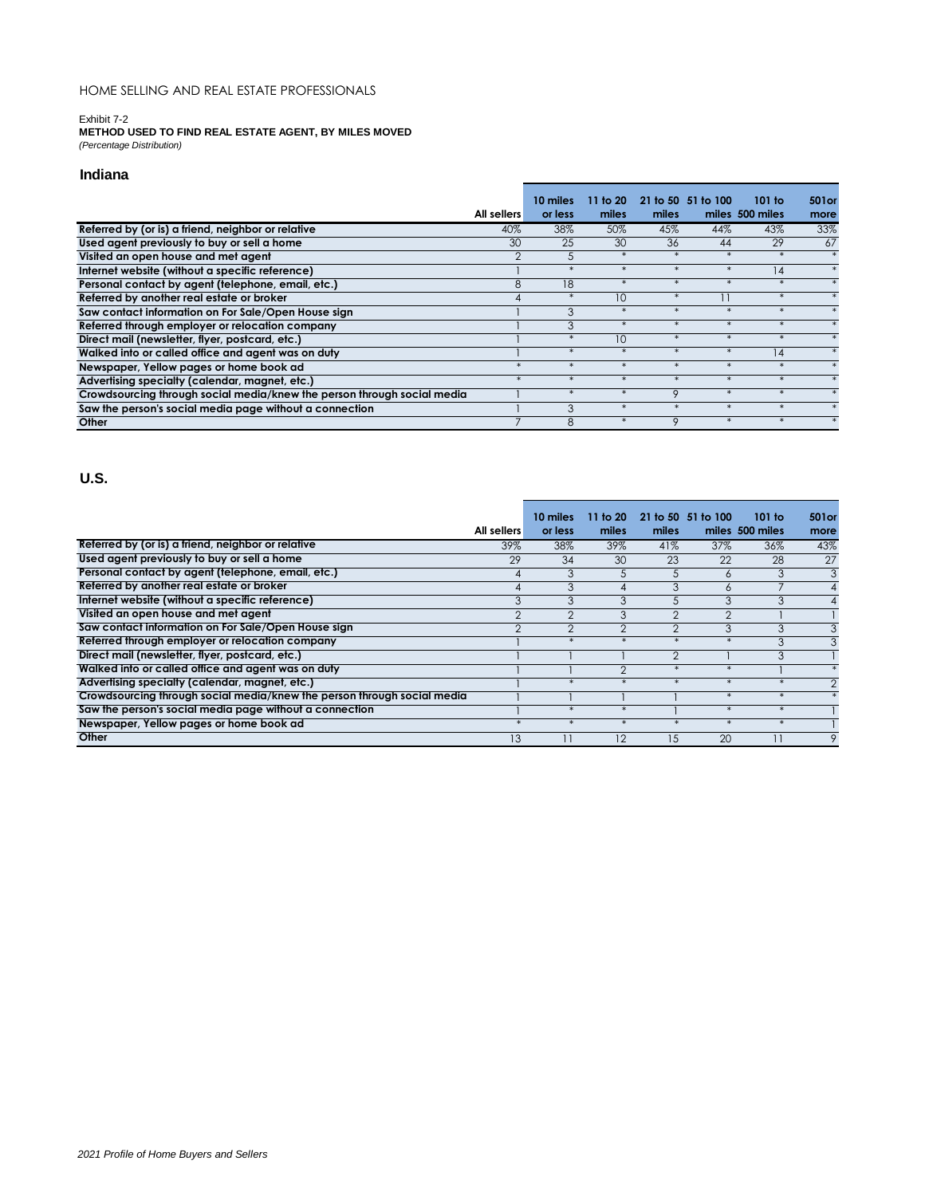### Exhibit 7-2

**METHOD USED TO FIND REAL ESTATE AGENT, BY MILES MOVED** *(Percentage Distribution)*

### **Indiana**

|                                                                         |             | 10 miles | 11 to 20 |         | 21 to 50 51 to 100 | 101 to          | 501 or |
|-------------------------------------------------------------------------|-------------|----------|----------|---------|--------------------|-----------------|--------|
|                                                                         | All sellers | or less  | miles    | miles   |                    | miles 500 miles | more   |
| Referred by (or is) a friend, neighbor or relative                      | 40%         | 38%      | 50%      | 45%     | 44%                | 43%             | 33%    |
| Used agent previously to buy or sell a home                             | 30          | 25       | 30       | 36      | 44                 | 29              | 67     |
| Visited an open house and met agent                                     |             | 5        |          |         |                    |                 |        |
| Internet website (without a specific reference)                         |             | $\ast$   |          |         |                    | 14              |        |
| Personal contact by agent (telephone, email, etc.)                      | 8           | 18       |          |         |                    |                 |        |
| Referred by another real estate or broker                               | 4           | $\ast$   | 10       | $\ast$  |                    | $*$             |        |
| Saw contact information on For Sale/Open House sign                     |             | 3        |          | $\ast$  | $\ast$             | $\ast$          |        |
| Referred through employer or relocation company                         |             | 3        |          |         |                    |                 |        |
| Direct mail (newsletter, flyer, postcard, etc.)                         |             | $*$      | 10       | $\ast$  | $\ast$             |                 |        |
| Walked into or called office and agent was on duty                      |             | $\ast$   |          |         |                    | 14              |        |
| Newspaper, Yellow pages or home book ad                                 |             | $\ast$   |          |         |                    |                 |        |
| Advertising specialty (calendar, magnet, etc.)                          |             |          |          |         |                    |                 |        |
| Crowdsourcing through social media/knew the person through social media |             | $*$      |          | $\circ$ |                    |                 |        |
| Saw the person's social media page without a connection                 |             | 3        |          | 士       |                    |                 |        |
| Other                                                                   |             | 8        |          |         |                    |                 |        |

|                                                                         |               | 10 miles       | 11 to 20      |                | 21 to 50 51 to 100 | 101 to          | 501 or      |
|-------------------------------------------------------------------------|---------------|----------------|---------------|----------------|--------------------|-----------------|-------------|
|                                                                         | All sellers   | or less        | miles         | miles          |                    | miles 500 miles | more        |
| Referred by (or is) a friend, neighbor or relative                      | 39%           | 38%            | 39%           | 41%            | 37%                | 36%             | 43%         |
| Used agent previously to buy or sell a home                             | 29            | 34             | 30            | 23             | 22                 | 28              | 27          |
| Personal contact by agent (telephone, email, etc.)                      | 4             | 3              | 5             |                | 6                  |                 | 3           |
| Referred by another real estate or broker                               | 4             | 3              | 4             | 3              | 6                  |                 |             |
| Internet website (without a specific reference)                         | 3             | 3              | 3             | .h             | 3                  |                 |             |
| Visited an open house and met agent                                     | 2             | $\overline{2}$ | 3             | $\mathcal{P}$  | っ                  |                 |             |
| Saw contact information on For Sale/Open House sign                     | $\mathcal{P}$ | $\mathfrak{D}$ | $\mathcal{P}$ | $\overline{2}$ | 3                  | 3               | 3           |
| Referred through employer or relocation company                         |               | $\ast$         |               |                |                    |                 | 3           |
| Direct mail (newsletter, flyer, postcard, etc.)                         |               |                |               | $\mathcal{P}$  |                    |                 |             |
| Walked into or called office and agent was on duty                      |               |                | ⌒             |                |                    |                 |             |
| Advertising specialty (calendar, magnet, etc.)                          |               | $\ast$         | $\mathbf x$   |                |                    |                 | 2           |
| Crowdsourcing through social media/knew the person through social media |               |                |               |                |                    |                 |             |
| Saw the person's social media page without a connection                 |               |                |               |                |                    |                 |             |
| Newspaper, Yellow pages or home book ad                                 |               |                |               |                |                    |                 |             |
| Other                                                                   | 13            |                | 12            | 15             | 20                 |                 | $\mathsf Q$ |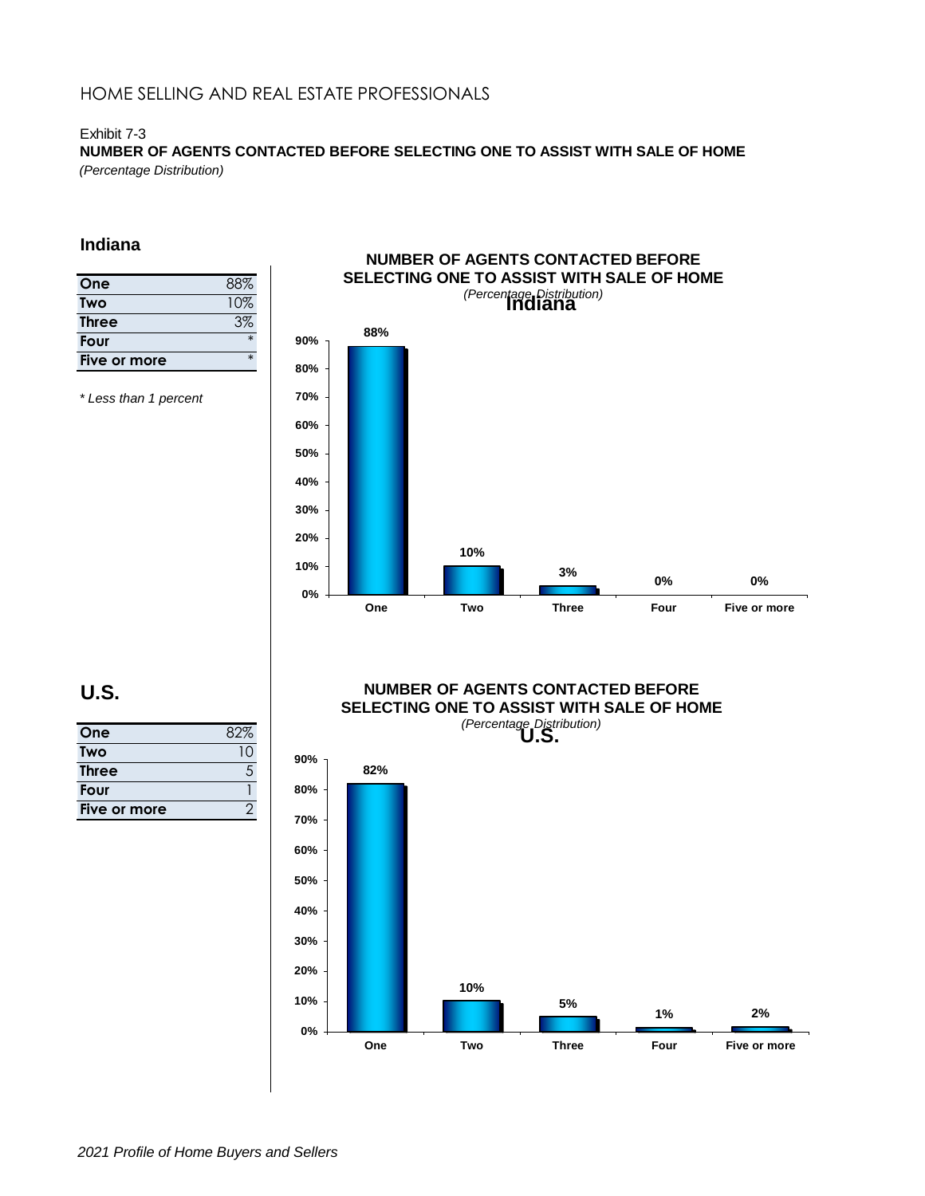## Exhibit 7-3

**NUMBER OF AGENTS CONTACTED BEFORE SELECTING ONE TO ASSIST WITH SALE OF HOME** *(Percentage Distribution)*

## **Indiana**

| 88%    |
|--------|
| 10%    |
| 3%     |
| $\ast$ |
| $\ast$ |
|        |

*\* Less than 1 percent*



# **U.S.**

| One          |    |
|--------------|----|
| Two          | 10 |
| <b>Three</b> | .5 |
| Four         |    |
| Five or more |    |

## **NUMBER OF AGENTS CONTACTED BEFORE SELECTING ONE TO ASSIST WITH SALE OF HOME**

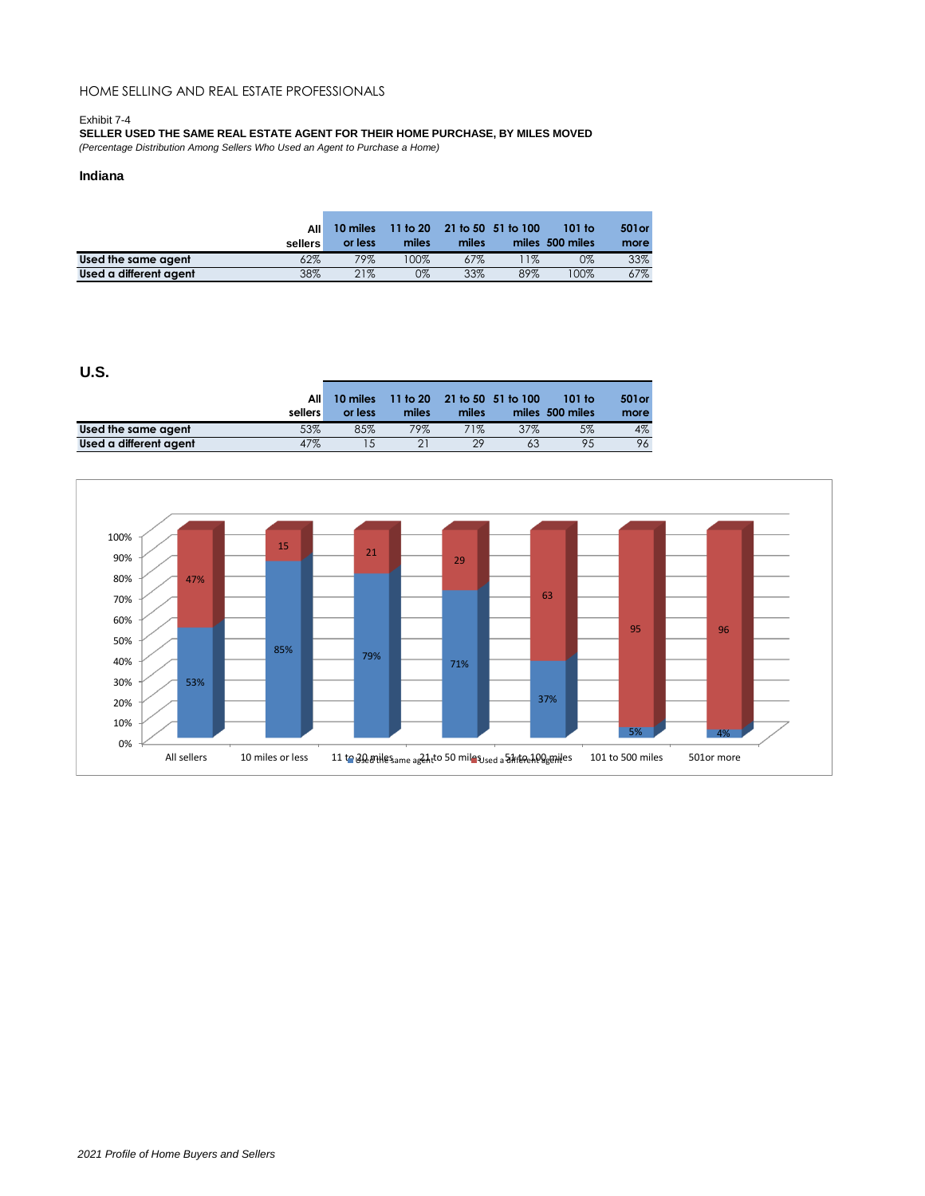### Exhibit 7-4

**SELLER USED THE SAME REAL ESTATE AGENT FOR THEIR HOME PURCHASE, BY MILES MOVED**

*(Percentage Distribution Among Sellers Who Used an Agent to Purchase a Home)*

### **Indiana**

|                        | All<br>sellers | 10 miles<br>or less | 11 <sub>to</sub> 20 <sub>0</sub><br>miles | miles | 21 to 50 51 to 100 | 101 to<br>miles 500 miles | 501 or<br>more |
|------------------------|----------------|---------------------|-------------------------------------------|-------|--------------------|---------------------------|----------------|
| Used the same agent    | 62%            | 79%                 | 100%                                      | 67%   | $1\%$              | 0%                        | 33%            |
| Used a different agent | 38%            | 21%                 | 0%                                        | 33%   | 89%                | 100%                      | 67%            |

|                        | All<br>sellers | 10 miles<br>or less | miles | miles | 11 to 20 21 to 50 51 to 100 | 101 to<br>miles 500 miles | 501 or<br>more |
|------------------------|----------------|---------------------|-------|-------|-----------------------------|---------------------------|----------------|
| Used the same agent    | 53%            | 85%                 | 79%   | 71%   | 37%                         | 5%                        | $4\%$          |
| Used a different agent | 47%            |                     |       | 29    | 63                          | 95                        | 96             |

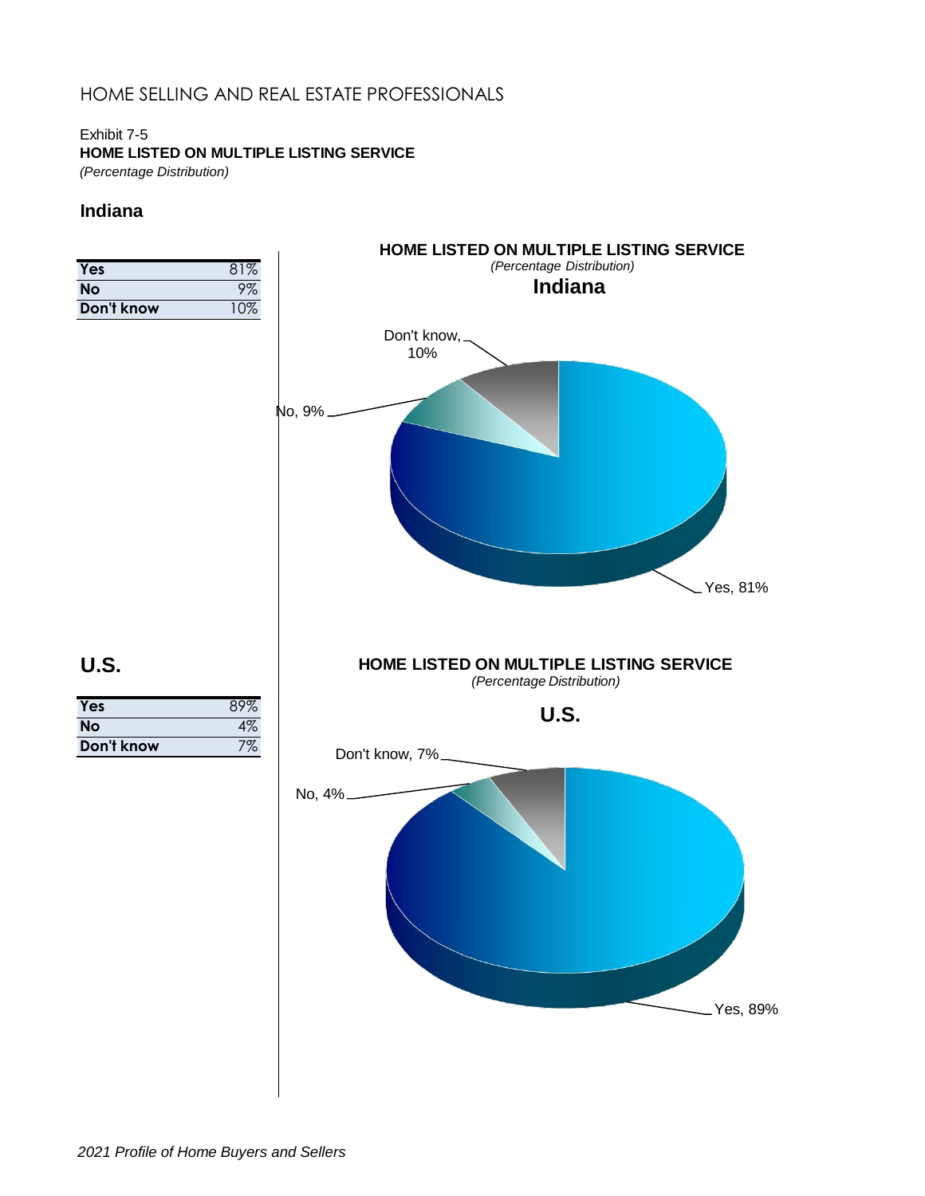## Exhibit 7-5 **HOME LISTED ON MULTIPLE LISTING SERVICE**

*(Percentage Distribution)*

## **Indiana**

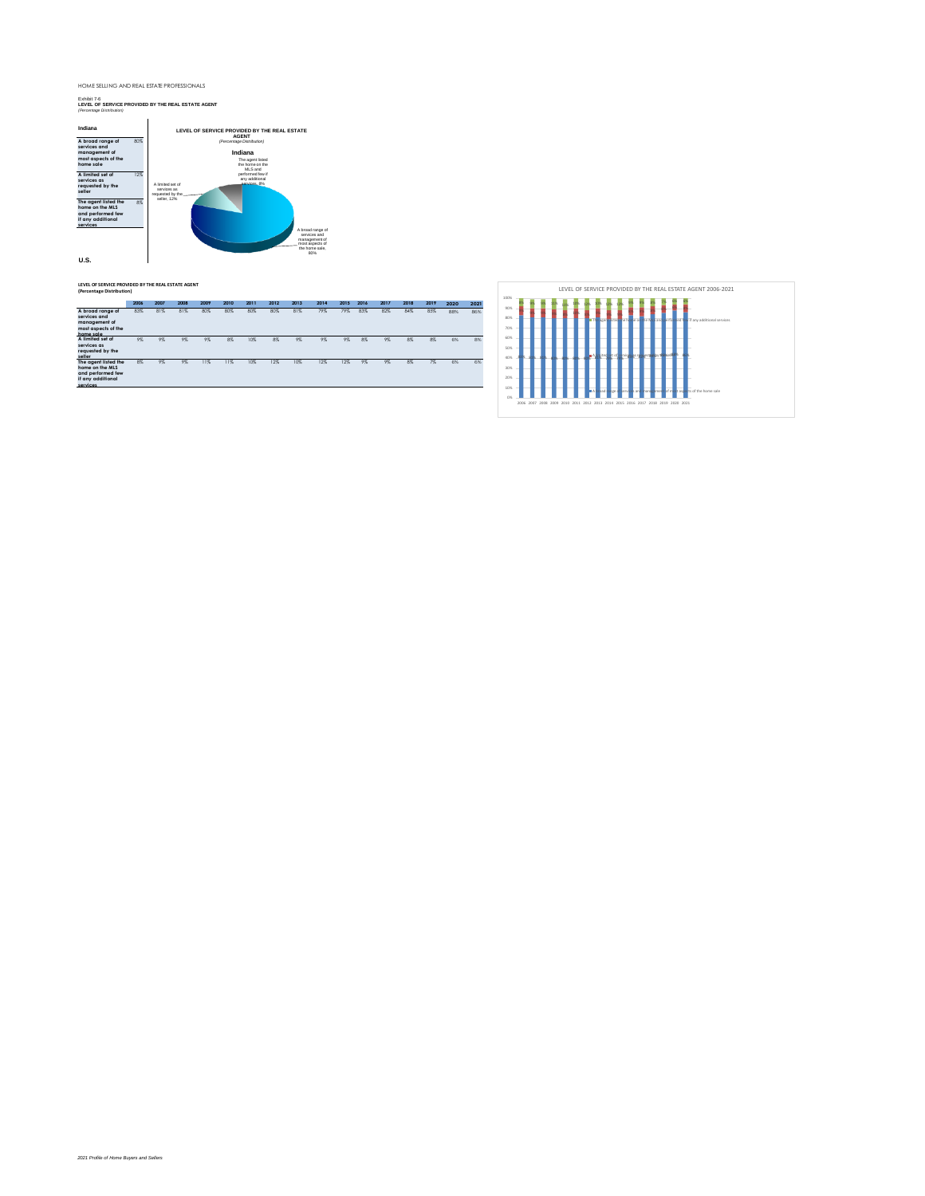### Exhibit 7-6 **LEVEL OF SERVICE PROVIDED BY THE REAL ESTATE AGENT** *(Percentage Distribution)*



### **LEVEL OF SERVICE PROVIDED BY THE REAL ESTATE AGENT (Percentage Distribution)**

|                                                                                               | 2006 | 2007 | 2008 | 2009 | 2010 | 2011 | 2012 | 2013 | 2014 | 2015 | 2016 | 2017 | 2018 | 2019 | 2020 | 2021 |
|-----------------------------------------------------------------------------------------------|------|------|------|------|------|------|------|------|------|------|------|------|------|------|------|------|
| A broad range of<br>services and<br>management of<br>most aspects of the<br>home sale         | 83%  | 81%  | 81%  | 80%  | 80%  | 80%  | 80%  | 81%  | 79%  | 79%  | 83%  | 82%  | 84%  | 85%  | 88%  | 86%  |
| A limited set of                                                                              | 9%   | 9%   | 9%   | 9%   | 8%   | 10%  | 8%   | 9%   | 9%   | 9%   | 8%   | 9%   | 8%   | 8%   | 6%   | 8%   |
| services as<br>requested by the<br>seller                                                     |      |      |      |      |      |      |      |      |      |      |      |      |      |      |      |      |
| The agent listed the<br>home on the MLS<br>and performed few<br>if any additional<br>services | 8%   | 9%   | 9%   | 11%  | 11%  | 10%  | 12%  | 10%  | 12%  | 12%  | 9%   | 9%   | 8%   | 7%   | 6%   | 6%   |

| 100% |  |  |  |  |    |               |              |       |   |      |      |      |       |                                              |
|------|--|--|--|--|----|---------------|--------------|-------|---|------|------|------|-------|----------------------------------------------|
| 90%  |  |  |  |  |    |               |              |       |   |      |      |      |       |                                              |
| 80%  |  |  |  |  | TF | <b>Second</b> | <b>Based</b> | The h | o | ho N |      |      |       | and performed few if any additional services |
| 70%  |  |  |  |  |    |               |              |       |   |      |      |      |       |                                              |
| 60%  |  |  |  |  |    |               |              |       |   |      |      |      |       |                                              |
|      |  |  |  |  |    |               |              |       |   |      |      |      |       |                                              |
| 50%  |  |  |  |  |    | itec          | et of        |       |   |      |      |      |       |                                              |
| 40%  |  |  |  |  |    |               |              |       |   |      |      |      |       |                                              |
| 30%  |  |  |  |  |    |               |              |       |   |      |      |      |       |                                              |
| 20%  |  |  |  |  |    |               |              |       |   |      |      |      |       |                                              |
|      |  |  |  |  |    |               |              |       |   |      |      |      |       |                                              |
| 10%  |  |  |  |  |    | hart          | i oo         | orv   |   | hani | Imel | nt m | k asé | ts of the home sale                          |
| 0%   |  |  |  |  |    |               |              |       |   |      |      |      |       |                                              |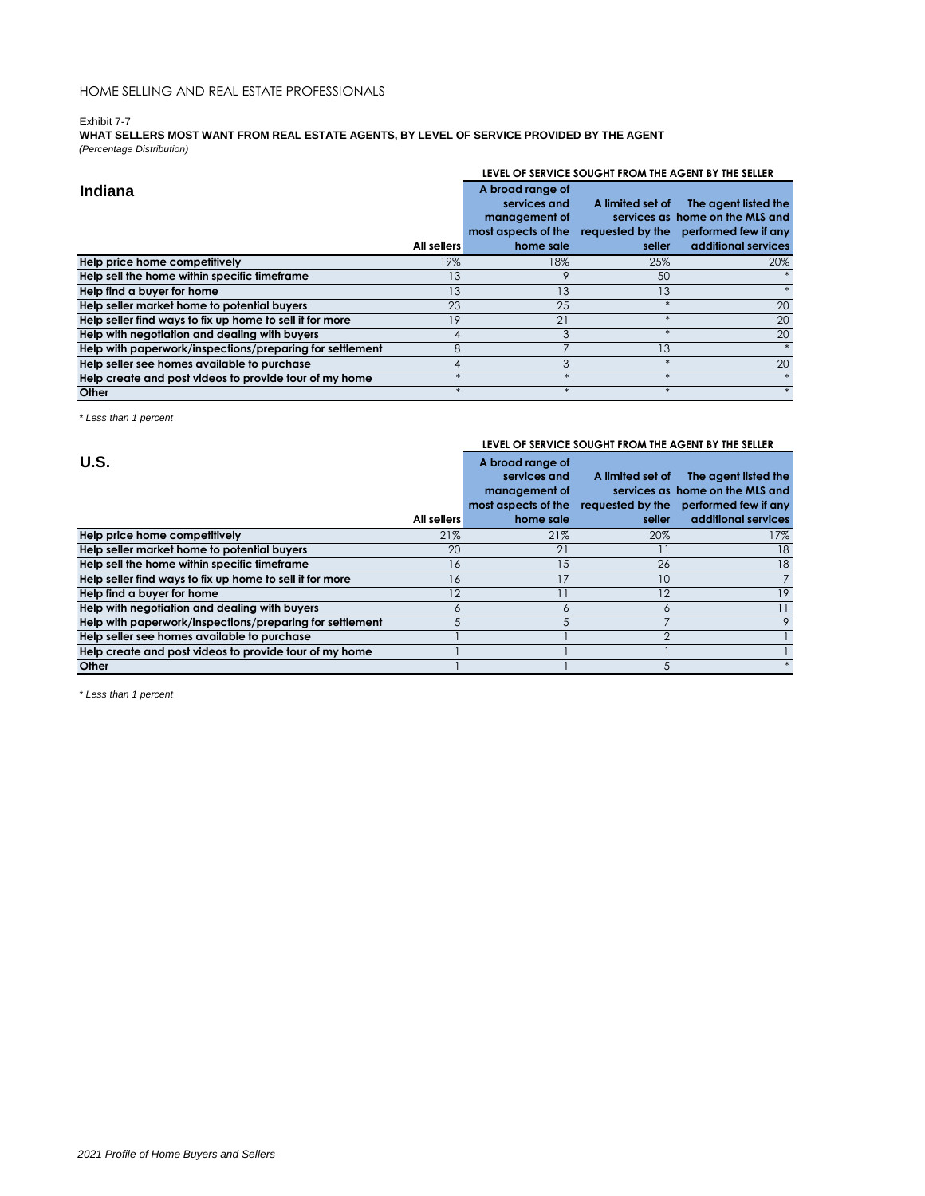### Exhibit 7-7

**WHAT SELLERS MOST WANT FROM REAL ESTATE AGENTS, BY LEVEL OF SERVICE PROVIDED BY THE AGENT** *(Percentage Distribution)*

|                                                          |             |                                      |                  | LEVEL OF SERVICE SOUGHT FROM THE AGENT BY THE SELLER    |
|----------------------------------------------------------|-------------|--------------------------------------|------------------|---------------------------------------------------------|
| <b>Indiana</b>                                           |             | A broad range of<br>services and     | A limited set of | The agent listed the                                    |
|                                                          |             | management of<br>most aspects of the | requested by the | services as home on the MLS and<br>performed few if any |
|                                                          | All sellers | home sale                            | seller           | additional services                                     |
| Help price home competitively                            | 19%         | 18%                                  | 25%              | 20%                                                     |
| Help sell the home within specific timeframe             | 13          |                                      | 50               |                                                         |
| Help find a buyer for home                               | 13          | 13                                   | 13               |                                                         |
| Help seller market home to potential buyers              | 23          | 25                                   |                  | 20                                                      |
| Help seller find ways to fix up home to sell it for more | 19          | 21                                   | $\ast$           | 20                                                      |
| Help with negotiation and dealing with buyers            | 4           |                                      | $\star$          | 20                                                      |
| Help with paperwork/inspections/preparing for settlement | 8           |                                      | 13               |                                                         |
| Help seller see homes available to purchase              |             |                                      | $\ast$           | 20                                                      |
| Help create and post videos to provide tour of my home   |             |                                      | $\ast$           |                                                         |
| Other                                                    |             |                                      |                  |                                                         |

*\* Less than 1 percent*

**U.S.**

#### **All sellers A broad range of services and management of most aspects of the requested by the performed few if any home sale A limited set of The agent listed the services as home on the MLS and seller**

**LEVEL OF SERVICE SOUGHT FROM THE AGENT BY THE SELLER**

|                                                          | All sellers | home sale   | seller | additional services |
|----------------------------------------------------------|-------------|-------------|--------|---------------------|
| Help price home competitively                            | 21%         | 21%         | 20%    | 17%                 |
| Help seller market home to potential buyers              | 20          | $2^{\circ}$ |        | 18                  |
| Help sell the home within specific timeframe             | 16          |             | 26     | 18                  |
| Help seller find ways to fix up home to sell it for more | 16          |             | 10     |                     |
| Help find a buyer for home                               |             |             |        | 19                  |
| Help with negotiation and dealing with buyers            |             |             |        |                     |
| Help with paperwork/inspections/preparing for settlement |             |             |        |                     |
| Help seller see homes available to purchase              |             |             |        |                     |
| Help create and post videos to provide tour of my home   |             |             |        |                     |
| Other                                                    |             |             |        |                     |

*\* Less than 1 percent*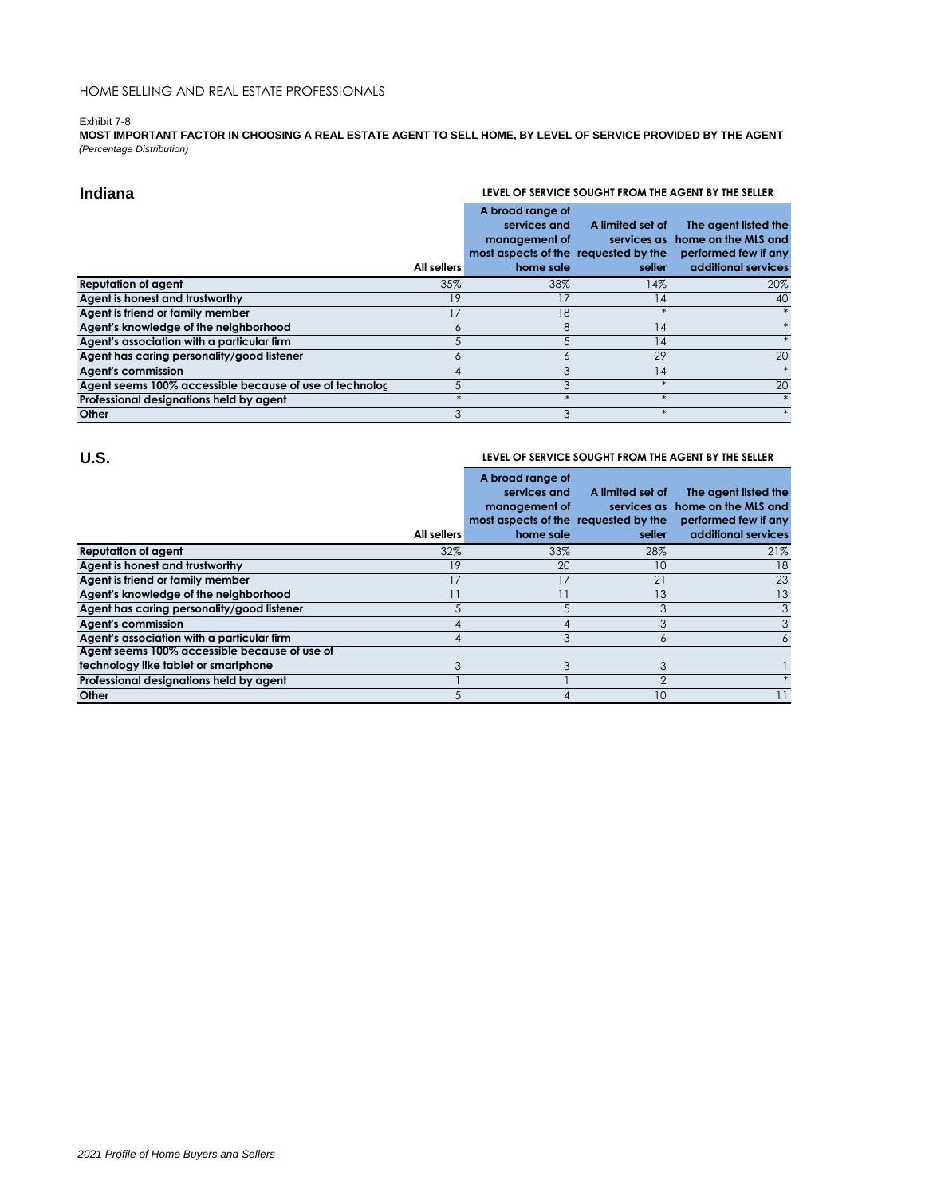### Exhibit 7-8

**MOST IMPORTANT FACTOR IN CHOOSING A REAL ESTATE AGENT TO SELL HOME, BY LEVEL OF SERVICE PROVIDED BY THE AGENT** *(Percentage Distribution)*

| Indiana                                                 | LEVEL OF SERVICE SOUGHT FROM THE AGENT BY THE SELLER |                                                                                                        |                            |                                                                                                        |  |
|---------------------------------------------------------|------------------------------------------------------|--------------------------------------------------------------------------------------------------------|----------------------------|--------------------------------------------------------------------------------------------------------|--|
|                                                         | All sellers                                          | A broad range of<br>services and<br>management of<br>most aspects of the requested by the<br>home sale | A limited set of<br>seller | The agent listed the<br>services as home on the MLS and<br>performed few if any<br>additional services |  |
| <b>Reputation of agent</b>                              | 35%                                                  | 38%                                                                                                    | 14%                        | 20%                                                                                                    |  |
| Agent is honest and trustworthy                         | 19                                                   |                                                                                                        | 14                         | 40                                                                                                     |  |
| Agent is friend or family member                        | 17                                                   | 18                                                                                                     | $\star$                    |                                                                                                        |  |
| Agent's knowledge of the neighborhood                   | 6                                                    | 8                                                                                                      | 14                         |                                                                                                        |  |
| Agent's association with a particular firm              | 5                                                    | 5                                                                                                      | 14                         |                                                                                                        |  |
| Agent has caring personality/good listener              | <sup>n</sup>                                         | O                                                                                                      | 29                         | 20                                                                                                     |  |
| <b>Agent's commission</b>                               |                                                      |                                                                                                        | 14                         |                                                                                                        |  |
| Agent seems 100% accessible because of use of technolog | 5                                                    |                                                                                                        | $\ast$                     | 20                                                                                                     |  |
| Professional designations held by agent                 |                                                      |                                                                                                        | $*$                        |                                                                                                        |  |
| Other                                                   |                                                      |                                                                                                        | $*$                        |                                                                                                        |  |

## **U.S.**

### **LEVEL OF SERVICE SOUGHT FROM THE AGENT BY THE SELLER**

|                                               | All sellers | A broad range of<br>services and<br>management of<br>most aspects of the requested by the<br>home sale | A limited set of<br>seller | The agent listed the<br>services as home on the MLS and<br>performed few if any<br>additional services |
|-----------------------------------------------|-------------|--------------------------------------------------------------------------------------------------------|----------------------------|--------------------------------------------------------------------------------------------------------|
| <b>Reputation of agent</b>                    | 32%         | 33%                                                                                                    | 28%                        | 21%                                                                                                    |
| Agent is honest and trustworthy               | 19          | 20                                                                                                     | 10                         | 18                                                                                                     |
| Agent is friend or family member              | 17          | 17                                                                                                     | 21                         | 23                                                                                                     |
| Agent's knowledge of the neighborhood         |             |                                                                                                        | 13                         | 13                                                                                                     |
| Agent has caring personality/good listener    | 5           |                                                                                                        |                            | 3                                                                                                      |
| <b>Agent's commission</b>                     |             |                                                                                                        |                            | 3                                                                                                      |
| Agent's association with a particular firm    |             | 3                                                                                                      | 6                          |                                                                                                        |
| Agent seems 100% accessible because of use of |             |                                                                                                        |                            |                                                                                                        |
| technology like tablet or smartphone          |             |                                                                                                        |                            |                                                                                                        |
| Professional designations held by agent       |             |                                                                                                        | ⌒                          |                                                                                                        |
| Other                                         |             |                                                                                                        | 10                         |                                                                                                        |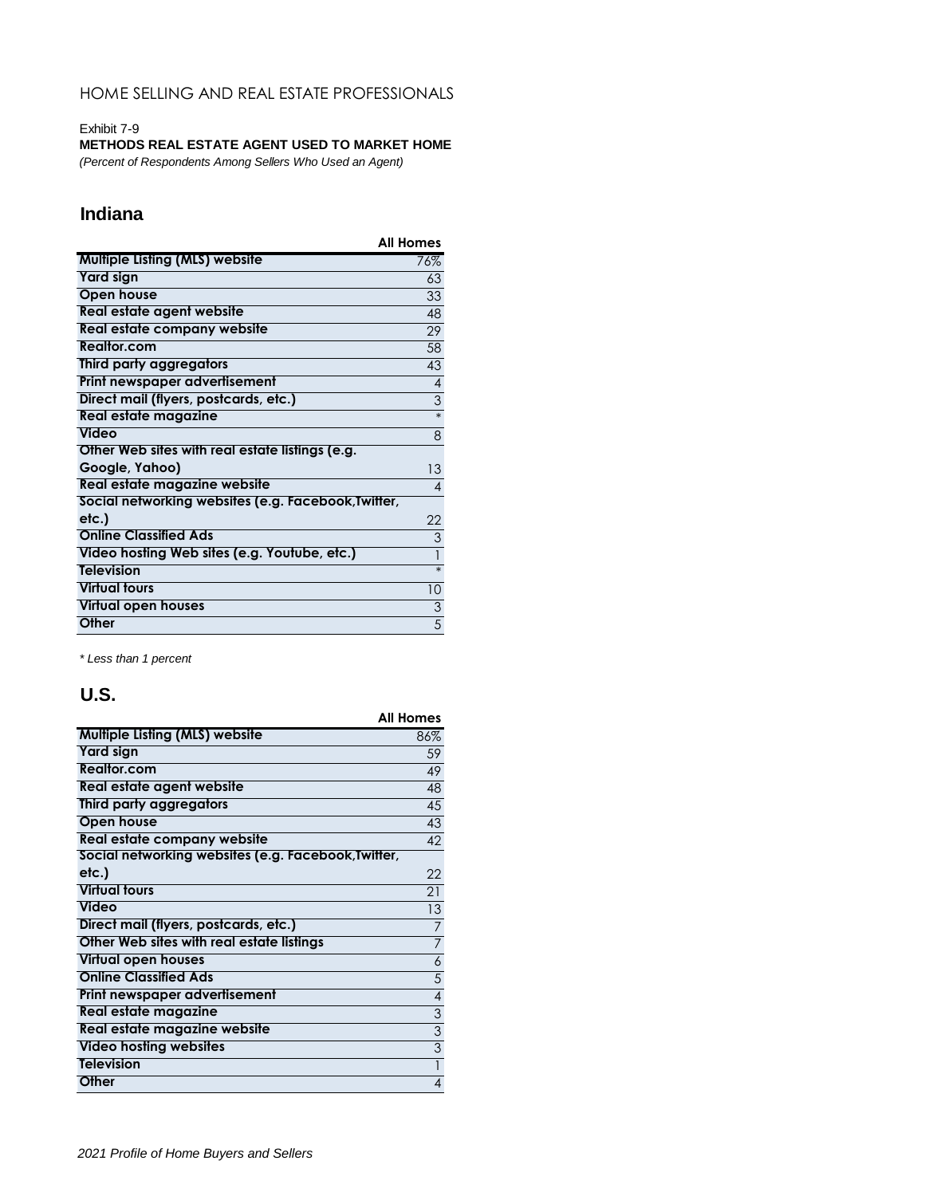### Exhibit 7-9

## **METHODS REAL ESTATE AGENT USED TO MARKET HOME**

*(Percent of Respondents Among Sellers Who Used an Agent)*

# **Indiana**

|                                                     | <b>All Homes</b> |
|-----------------------------------------------------|------------------|
| Multiple Listing (MLS) website                      | 76%              |
| <b>Yard sign</b>                                    | 63               |
| Open house                                          | 33               |
| Real estate agent website                           | 48               |
| Real estate company website                         | 29               |
| Realtor.com                                         | 58               |
| Third party aggregators                             | 43               |
| Print newspaper advertisement                       | $\overline{4}$   |
| Direct mail (flyers, postcards, etc.)               | $\overline{3}$   |
| Real estate magazine                                | $\ast$           |
| Video                                               | 8                |
| Other Web sites with real estate listings (e.g.     |                  |
| Google, Yahoo)                                      | 13               |
| Real estate magazine website                        | 4                |
| Social networking websites (e.g. Facebook, Twitter, |                  |
| etc.)                                               | 22               |
| <b>Online Classified Ads</b>                        | $\overline{3}$   |
| Video hosting Web sites (e.g. Youtube, etc.)        |                  |
| <b>Television</b>                                   | $\ast$           |
| <b>Virtual tours</b>                                | 10 <sup>°</sup>  |
| Virtual open houses                                 | $\frac{3}{5}$    |
| Other                                               |                  |

*\* Less than 1 percent*

|                                                     | <b>All Homes</b> |
|-----------------------------------------------------|------------------|
| <b>Multiple Listing (MLS) website</b>               | 86%              |
| Yard sign                                           | 59               |
| Realtor.com                                         | 49               |
| Real estate agent website                           | 48               |
| Third party aggregators                             | 45               |
| Open house                                          | 43               |
| Real estate company website                         | 42               |
| Social networking websites (e.g. Facebook, Twitter, |                  |
| etc.)                                               | 22               |
| <b>Virtual tours</b>                                | 21               |
| Video                                               | 13               |
| Direct mail (flyers, postcards, etc.)               | $\overline{7}$   |
| Other Web sites with real estate listings           | 7                |
| Virtual open houses                                 | 6                |
| <b>Online Classified Ads</b>                        | 5                |
| Print newspaper advertisement                       | $\overline{4}$   |
| Real estate magazine                                | $\overline{3}$   |
| Real estate magazine website                        | $\overline{3}$   |
| <b>Video hosting websites</b>                       | $\overline{3}$   |
| <b>Television</b>                                   | $\overline{1}$   |
| Other                                               | $\overline{4}$   |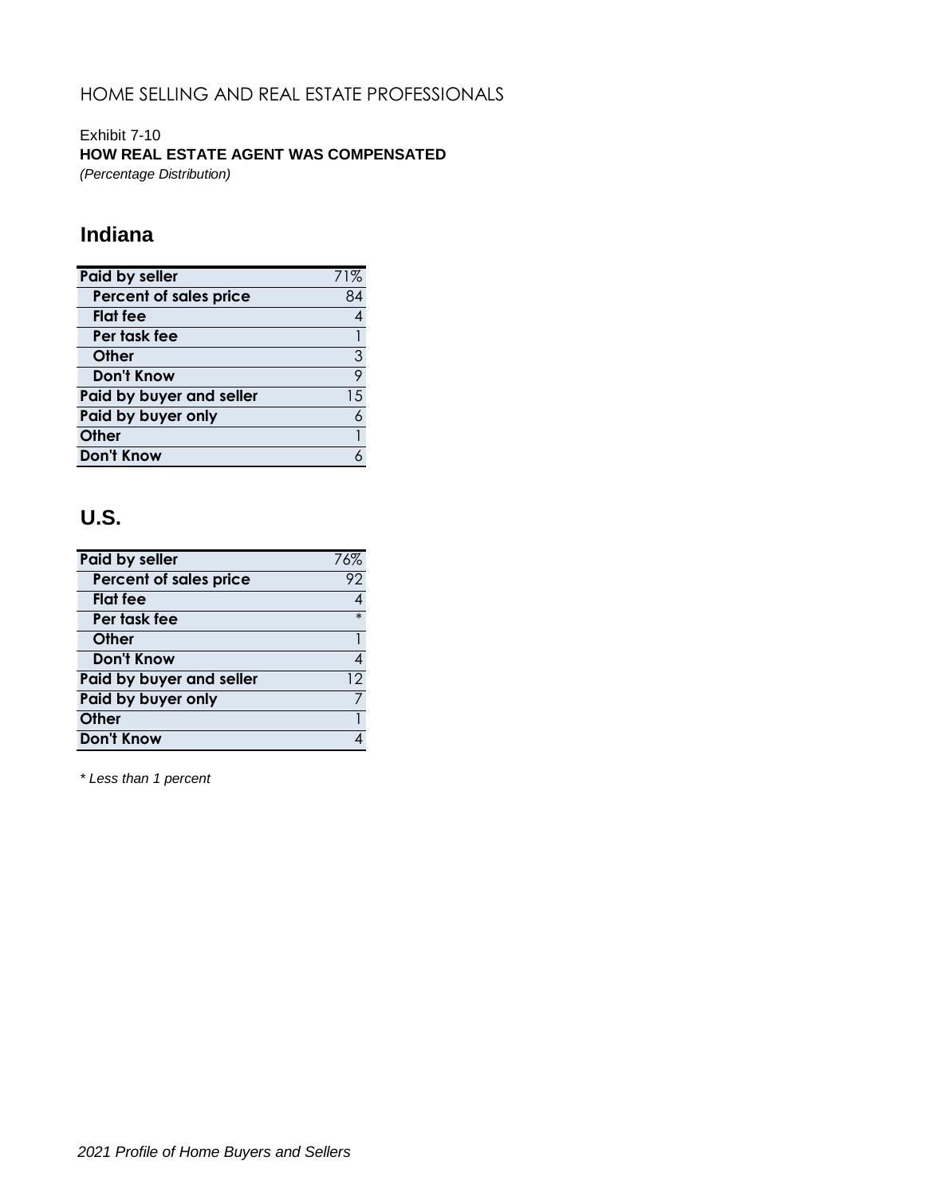Exhibit 7-10 **HOW REAL ESTATE AGENT WAS COMPENSATED** *(Percentage Distribution)*

# **Indiana**

| <b>Paid by seller</b>    |    |
|--------------------------|----|
| Percent of sales price   | 84 |
| <b>Flat</b> fee          |    |
| Per task fee             |    |
| Other                    | 3  |
| <b>Don't Know</b>        | 9  |
| Paid by buyer and seller | 15 |
| Paid by buyer only       | 6  |
| Other                    |    |
| <b>Don't Know</b>        |    |

# **U.S.**

| Paid by seller           | 76%    |
|--------------------------|--------|
| Percent of sales price   | 92     |
| <b>Flat</b> fee          |        |
| Per task fee             | $\ast$ |
| Other                    |        |
| Don't Know               | 4      |
| Paid by buyer and seller | 12     |
| Paid by buyer only       |        |
| <b>Other</b>             |        |
| <b>Don't Know</b>        |        |

*\* Less than 1 percent*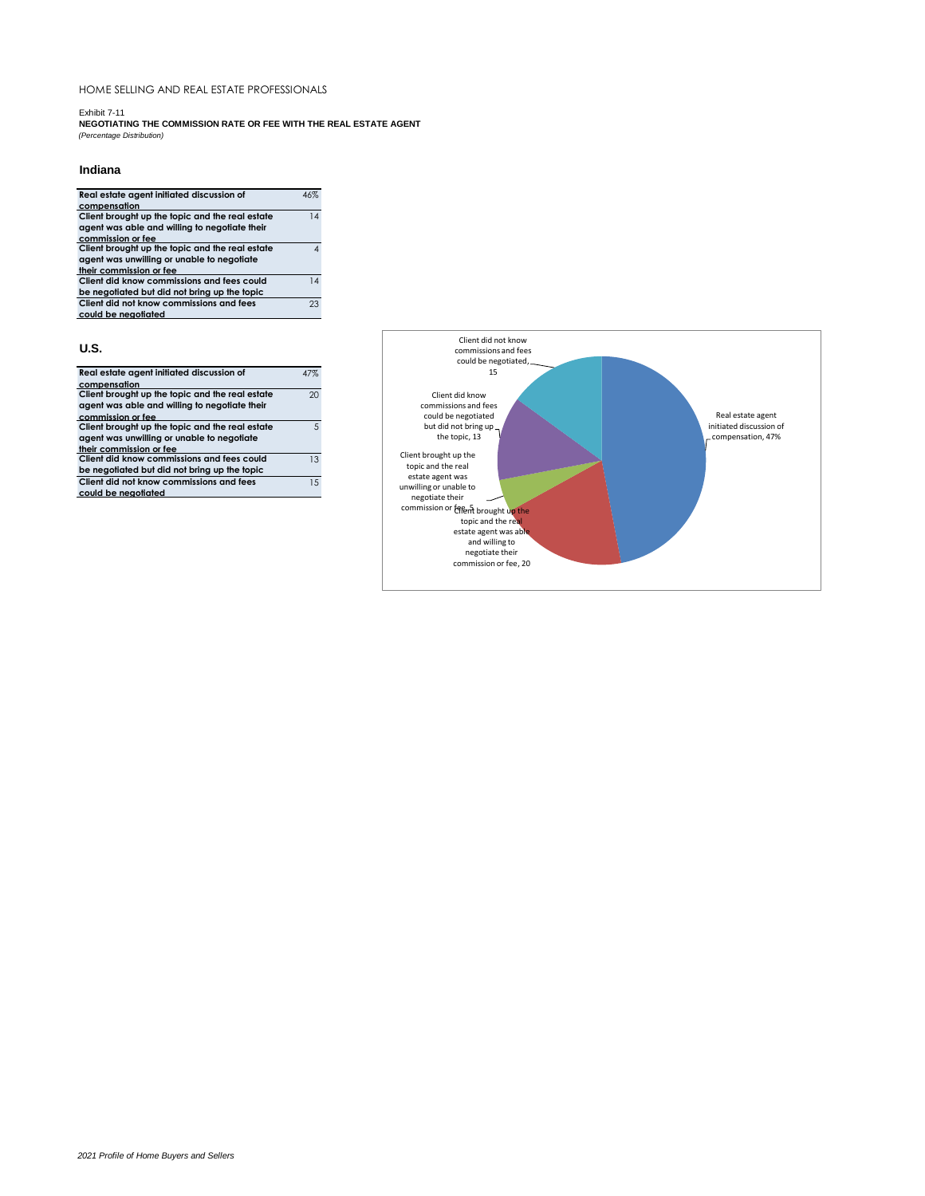Exhibit 7-11

**NEGOTIATING THE COMMISSION RATE OR FEE WITH THE REAL ESTATE AGENT** *(Percentage Distribution)*

### **Indiana**

| Real estate agent initiated discussion of       | 46%                      |
|-------------------------------------------------|--------------------------|
| compensation                                    |                          |
| Client brought up the topic and the real estate | 14                       |
| agent was able and willing to negotiate their   |                          |
| commission or fee                               |                          |
| Client brought up the topic and the real estate | $\boldsymbol{\varDelta}$ |
| agent was unwilling or unable to negotiate      |                          |
| their commission or fee                         |                          |
| Client did know commissions and fees could      | 14                       |
| be negotiated but did not bring up the topic    |                          |
| Client did not know commissions and fees        | 23                       |
| could be negotiated                             |                          |
| U.S.                                            |                          |
| Real estate agent initiated discussion of       | 47%                      |
| compensation                                    |                          |
| Client brought up the topic and the real estate | 20                       |
| agent was able and willing to negotiate their   |                          |
| commission or fee                               |                          |
| Client brought up the topic and the real estate | 5                        |

**commission or fee Client brought up the topic and the real estate agent was unwilling or unable to negotiate their commission or fee Client did know commissions and fees could** 

**be negotiated but did not bring up the topic Client did not know commissions and fees**  15

13

**could be negotiated**

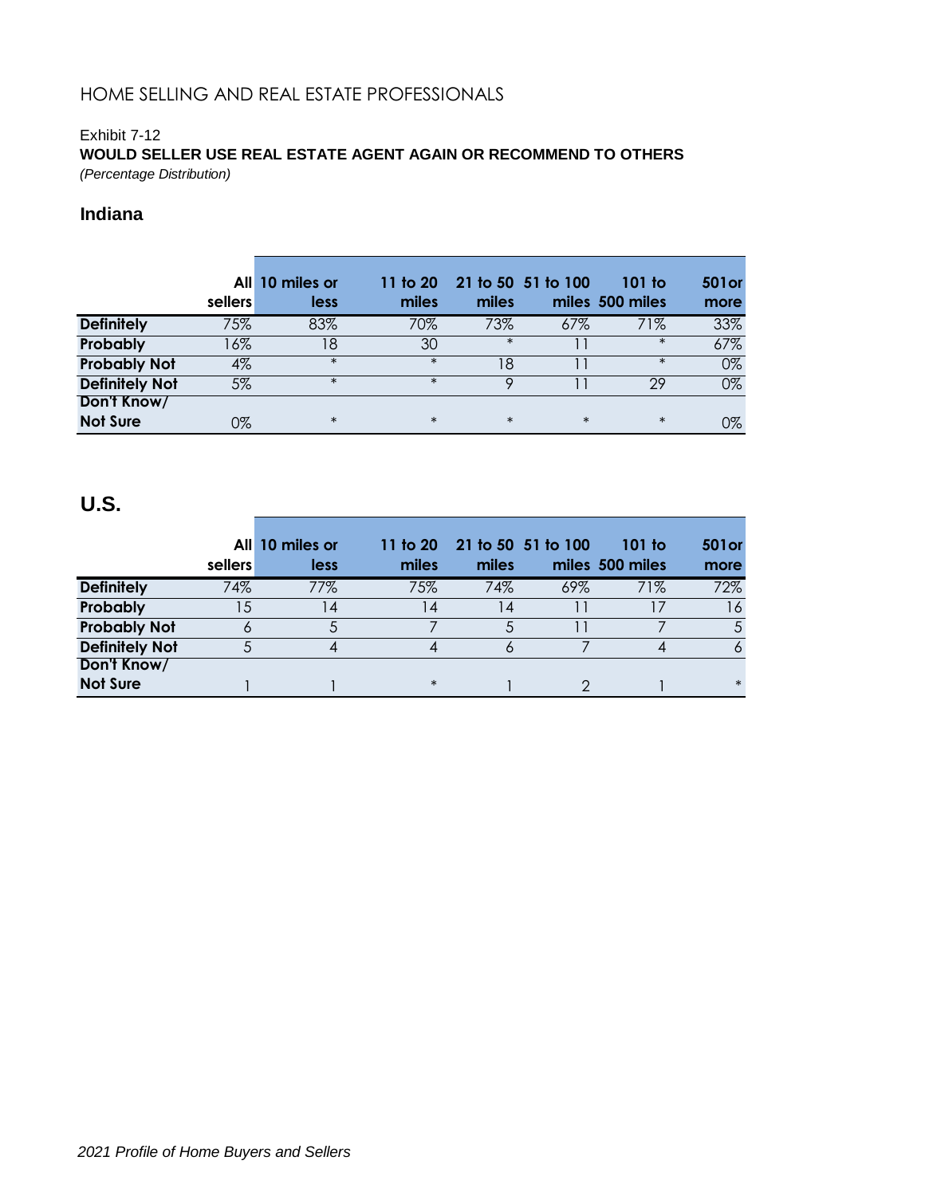# Exhibit 7-12 **WOULD SELLER USE REAL ESTATE AGENT AGAIN OR RECOMMEND TO OTHERS**

*(Percentage Distribution)*

## **Indiana**

|                       | sellers | All 10 miles or<br>less | 11 to 20<br>miles | miles  | 21 to 50 51 to 100 | 101 to<br>miles 500 miles | <b>501or</b><br>more |
|-----------------------|---------|-------------------------|-------------------|--------|--------------------|---------------------------|----------------------|
| <b>Definitely</b>     | 75%     | 83%                     | 70%               | 73%    | 67%                | 71%                       | 33%                  |
| Probably              | 16%     | 18                      | 30                | $\ast$ |                    | $\ast$                    | 67%                  |
| <b>Probably Not</b>   | 4%      | $\ast$                  | $\ast$            | 18     |                    | $\ast$                    | 0%                   |
| <b>Definitely Not</b> | 5%      | $\ast$                  | $\ast$            | Q      |                    | 29                        | 0%                   |
| Don't Know/           |         |                         |                   |        |                    |                           |                      |
| <b>Not Sure</b>       | 0%      | $\ast$                  | $\ast$            | $\ast$ | $\ast$             | $\ast$                    | 0%                   |

|                       | sellers | All 10 miles or<br>less | miles  | 11 to 20 21 to 50 51 to 100<br>miles |     | $101$ to<br>miles 500 miles | <b>501or</b><br>more |
|-----------------------|---------|-------------------------|--------|--------------------------------------|-----|-----------------------------|----------------------|
| <b>Definitely</b>     | 74%     | 77%                     | 75%    | 74%                                  | 69% | 71%                         | 72%                  |
| Probably              | 15      | 14                      | 4      | 4                                    |     |                             | 16                   |
| <b>Probably Not</b>   | O       |                         |        |                                      |     |                             | 5                    |
| <b>Definitely Not</b> |         | 4                       |        |                                      |     |                             | 6                    |
| Don't Know/           |         |                         |        |                                      |     |                             |                      |
| <b>Not Sure</b>       |         |                         | $\ast$ |                                      |     |                             | $\ast$               |